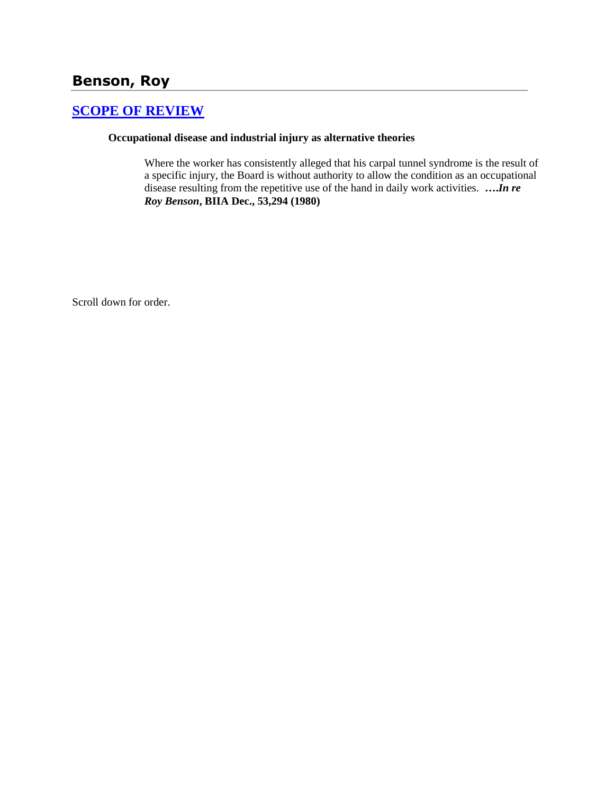# **Benson, Roy**

### **[SCOPE OF REVIEW](http://www.biia.wa.gov/SDSubjectIndex.html#SCOPE_OF_REVIEW)**

### **Occupational disease and industrial injury as alternative theories**

Where the worker has consistently alleged that his carpal tunnel syndrome is the result of a specific injury, the Board is without authority to allow the condition as an occupational disease resulting from the repetitive use of the hand in daily work activities. **….***In re Roy Benson***, BIIA Dec., 53,294 (1980)**

Scroll down for order.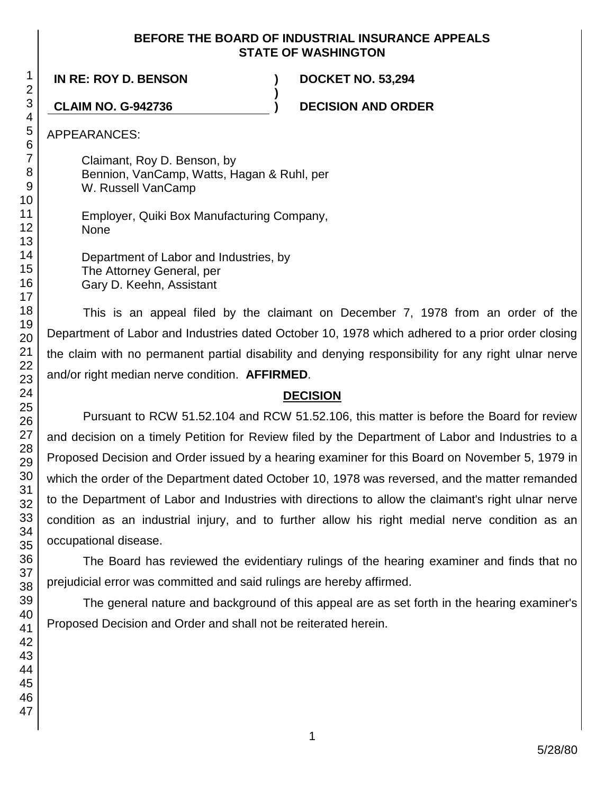### **BEFORE THE BOARD OF INDUSTRIAL INSURANCE APPEALS STATE OF WASHINGTON**

**)**

**IN RE: ROY D. BENSON ) DOCKET NO. 53,294**

**CLAIM NO. G-942736 ) DECISION AND ORDER**

APPEARANCES:

Claimant, Roy D. Benson, by Bennion, VanCamp, Watts, Hagan & Ruhl, per W. Russell VanCamp

Employer, Quiki Box Manufacturing Company, None

Department of Labor and Industries, by The Attorney General, per Gary D. Keehn, Assistant

This is an appeal filed by the claimant on December 7, 1978 from an order of the Department of Labor and Industries dated October 10, 1978 which adhered to a prior order closing the claim with no permanent partial disability and denying responsibility for any right ulnar nerve and/or right median nerve condition. **AFFIRMED**.

## **DECISION**

Pursuant to RCW 51.52.104 and RCW 51.52.106, this matter is before the Board for review and decision on a timely Petition for Review filed by the Department of Labor and Industries to a Proposed Decision and Order issued by a hearing examiner for this Board on November 5, 1979 in which the order of the Department dated October 10, 1978 was reversed, and the matter remanded to the Department of Labor and Industries with directions to allow the claimant's right ulnar nerve condition as an industrial injury, and to further allow his right medial nerve condition as an occupational disease.

The Board has reviewed the evidentiary rulings of the hearing examiner and finds that no prejudicial error was committed and said rulings are hereby affirmed.

The general nature and background of this appeal are as set forth in the hearing examiner's Proposed Decision and Order and shall not be reiterated herein.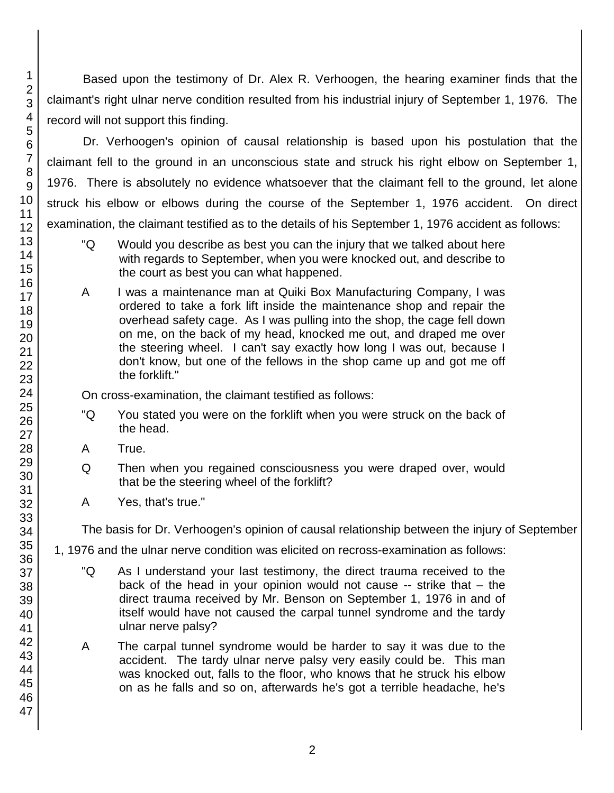Based upon the testimony of Dr. Alex R. Verhoogen, the hearing examiner finds that the claimant's right ulnar nerve condition resulted from his industrial injury of September 1, 1976. The record will not support this finding.

Dr. Verhoogen's opinion of causal relationship is based upon his postulation that the claimant fell to the ground in an unconscious state and struck his right elbow on September 1, 1976. There is absolutely no evidence whatsoever that the claimant fell to the ground, let alone struck his elbow or elbows during the course of the September 1, 1976 accident. On direct examination, the claimant testified as to the details of his September 1, 1976 accident as follows:

- "Q Would you describe as best you can the injury that we talked about here with regards to September, when you were knocked out, and describe to the court as best you can what happened.
- A I was a maintenance man at Quiki Box Manufacturing Company, I was ordered to take a fork lift inside the maintenance shop and repair the overhead safety cage. As I was pulling into the shop, the cage fell down on me, on the back of my head, knocked me out, and draped me over the steering wheel. I can't say exactly how long I was out, because I don't know, but one of the fellows in the shop came up and got me off the forklift."

On cross-examination, the claimant testified as follows:

- "Q You stated you were on the forklift when you were struck on the back of the head.
- A True.
- Q Then when you regained consciousness you were draped over, would that be the steering wheel of the forklift?
- A Yes, that's true."

The basis for Dr. Verhoogen's opinion of causal relationship between the injury of September

1, 1976 and the ulnar nerve condition was elicited on recross-examination as follows:

- "Q As I understand your last testimony, the direct trauma received to the back of the head in your opinion would not cause -- strike that – the direct trauma received by Mr. Benson on September 1, 1976 in and of itself would have not caused the carpal tunnel syndrome and the tardy ulnar nerve palsy?
- A The carpal tunnel syndrome would be harder to say it was due to the accident. The tardy ulnar nerve palsy very easily could be. This man was knocked out, falls to the floor, who knows that he struck his elbow on as he falls and so on, afterwards he's got a terrible headache, he's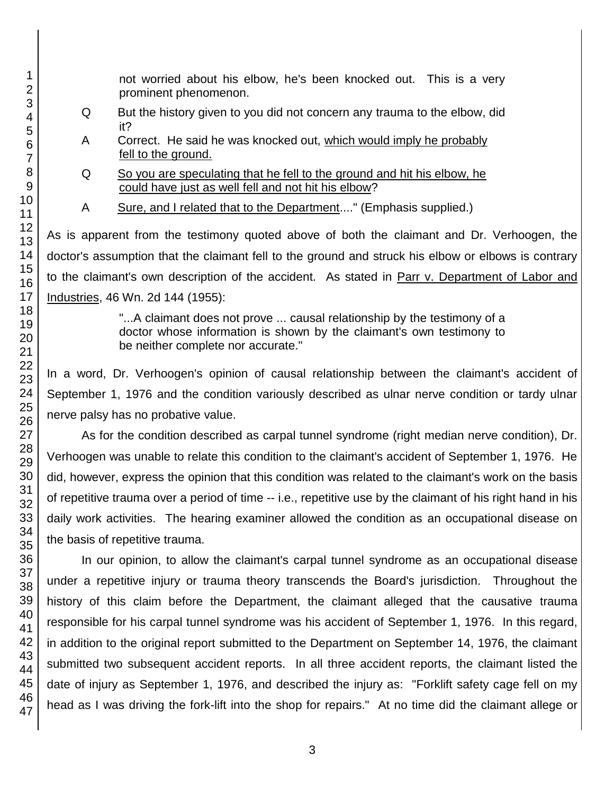not worried about his elbow, he's been knocked out. This is a very prominent phenomenon.

- Q But the history given to you did not concern any trauma to the elbow, did it?
- A Correct. He said he was knocked out, which would imply he probably fell to the ground.
- Q So you are speculating that he fell to the ground and hit his elbow, he could have just as well fell and not hit his elbow?
- A Sure, and I related that to the Department...." (Emphasis supplied.)

As is apparent from the testimony quoted above of both the claimant and Dr. Verhoogen, the doctor's assumption that the claimant fell to the ground and struck his elbow or elbows is contrary to the claimant's own description of the accident. As stated in Parr v. Department of Labor and Industries, 46 Wn. 2d 144 (1955):

> "...A claimant does not prove ... causal relationship by the testimony of a doctor whose information is shown by the claimant's own testimony to be neither complete nor accurate."

In a word, Dr. Verhoogen's opinion of causal relationship between the claimant's accident of September 1, 1976 and the condition variously described as ulnar nerve condition or tardy ulnar nerve palsy has no probative value.

As for the condition described as carpal tunnel syndrome (right median nerve condition), Dr. Verhoogen was unable to relate this condition to the claimant's accident of September 1, 1976. He did, however, express the opinion that this condition was related to the claimant's work on the basis of repetitive trauma over a period of time -- i.e., repetitive use by the claimant of his right hand in his daily work activities. The hearing examiner allowed the condition as an occupational disease on the basis of repetitive trauma.

In our opinion, to allow the claimant's carpal tunnel syndrome as an occupational disease under a repetitive injury or trauma theory transcends the Board's jurisdiction. Throughout the history of this claim before the Department, the claimant alleged that the causative trauma responsible for his carpal tunnel syndrome was his accident of September 1, 1976. In this regard, in addition to the original report submitted to the Department on September 14, 1976, the claimant submitted two subsequent accident reports. In all three accident reports, the claimant listed the date of injury as September 1, 1976, and described the injury as: "Forklift safety cage fell on my head as I was driving the fork-lift into the shop for repairs." At no time did the claimant allege or

1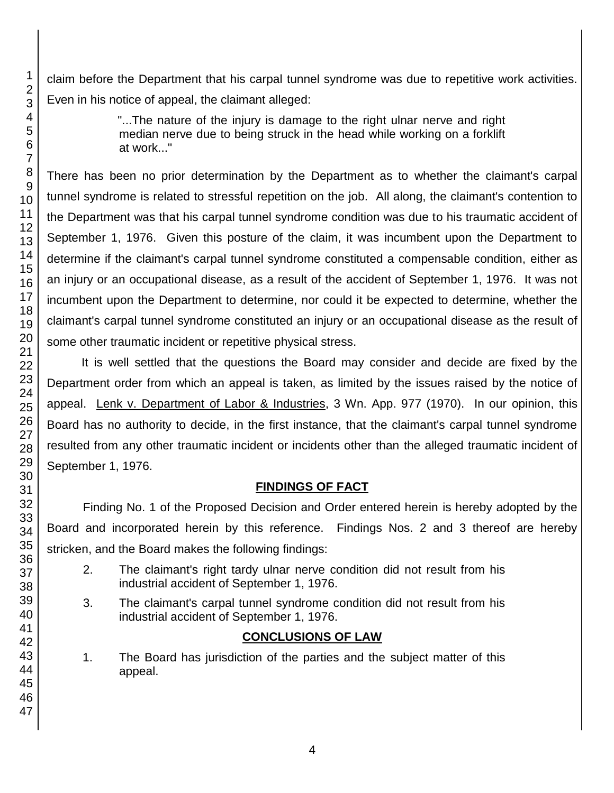claim before the Department that his carpal tunnel syndrome was due to repetitive work activities. Even in his notice of appeal, the claimant alleged:

> "...The nature of the injury is damage to the right ulnar nerve and right median nerve due to being struck in the head while working on a forklift at work..."

There has been no prior determination by the Department as to whether the claimant's carpal tunnel syndrome is related to stressful repetition on the job. All along, the claimant's contention to the Department was that his carpal tunnel syndrome condition was due to his traumatic accident of September 1, 1976. Given this posture of the claim, it was incumbent upon the Department to determine if the claimant's carpal tunnel syndrome constituted a compensable condition, either as an injury or an occupational disease, as a result of the accident of September 1, 1976. It was not incumbent upon the Department to determine, nor could it be expected to determine, whether the claimant's carpal tunnel syndrome constituted an injury or an occupational disease as the result of some other traumatic incident or repetitive physical stress.

It is well settled that the questions the Board may consider and decide are fixed by the Department order from which an appeal is taken, as limited by the issues raised by the notice of appeal. Lenk v. Department of Labor & Industries, 3 Wn. App. 977 (1970). In our opinion, this Board has no authority to decide, in the first instance, that the claimant's carpal tunnel syndrome resulted from any other traumatic incident or incidents other than the alleged traumatic incident of September 1, 1976.

# **FINDINGS OF FACT**

Finding No. 1 of the Proposed Decision and Order entered herein is hereby adopted by the Board and incorporated herein by this reference. Findings Nos. 2 and 3 thereof are hereby stricken, and the Board makes the following findings:

- 2. The claimant's right tardy ulnar nerve condition did not result from his industrial accident of September 1, 1976.
- 3. The claimant's carpal tunnel syndrome condition did not result from his industrial accident of September 1, 1976.

# **CONCLUSIONS OF LAW**

1. The Board has jurisdiction of the parties and the subject matter of this appeal.